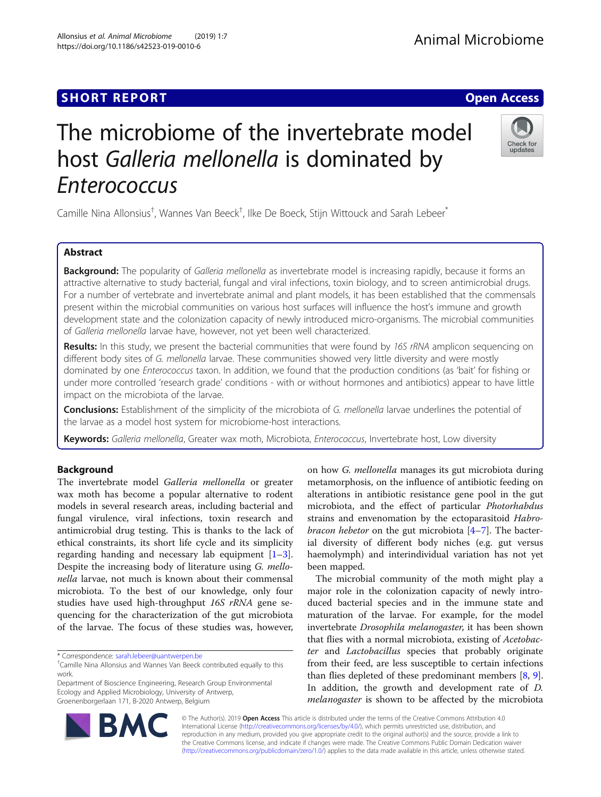## **SHORT REPORT CONTRACT CONTRACT CONTRACT CONTRACT CONTRACT CONTRACT CONTRACT CONTRACT CONTRACT CONTRACT CONTRACT CONTRACT CONTRACT CONTRACT CONTRACT CONTRACT CONTRACT CONTRACT CONTRACT CONTRACT CONTRACT CONTRACT CONTRACT C**

# The microbiome of the invertebrate model host Galleria mellonella is dominated by **Enterococcus**

Camille Nina Allonsius<sup>†</sup>, Wannes Van Beeck<sup>†</sup>, Ilke De Boeck, Stijn Wittouck and Sarah Lebeer<sup>\*</sup>

## Abstract

Background: The popularity of Galleria mellonella as invertebrate model is increasing rapidly, because it forms an attractive alternative to study bacterial, fungal and viral infections, toxin biology, and to screen antimicrobial drugs. For a number of vertebrate and invertebrate animal and plant models, it has been established that the commensals present within the microbial communities on various host surfaces will influence the host's immune and growth development state and the colonization capacity of newly introduced micro-organisms. The microbial communities of Galleria mellonella larvae have, however, not yet been well characterized.

Results: In this study, we present the bacterial communities that were found by 16S rRNA amplicon sequencing on different body sites of G. mellonella larvae. These communities showed very little diversity and were mostly dominated by one Enterococcus taxon. In addition, we found that the production conditions (as 'bait' for fishing or under more controlled 'research grade' conditions - with or without hormones and antibiotics) appear to have little impact on the microbiota of the larvae.

Conclusions: Establishment of the simplicity of the microbiota of G. mellonella larvae underlines the potential of the larvae as a model host system for microbiome-host interactions.

Keywords: Galleria mellonella, Greater wax moth, Microbiota, Enterococcus, Invertebrate host, Low diversity

## Background

The invertebrate model Galleria mellonella or greater wax moth has become a popular alternative to rodent models in several research areas, including bacterial and fungal virulence, viral infections, toxin research and antimicrobial drug testing. This is thanks to the lack of ethical constraints, its short life cycle and its simplicity regarding handing and necessary lab equipment  $[1-3]$  $[1-3]$  $[1-3]$  $[1-3]$ . Despite the increasing body of literature using G. mellonella larvae, not much is known about their commensal microbiota. To the best of our knowledge, only four studies have used high-throughput 16S rRNA gene sequencing for the characterization of the gut microbiota of the larvae. The focus of these studies was, however,

\* Correspondence: [sarah.lebeer@uantwerpen.be](mailto:sarah.lebeer@uantwerpen.be) †

Department of Bioscience Engineering, Research Group Environmental Ecology and Applied Microbiology, University of Antwerp, Groenenborgerlaan 171, B-2020 Antwerp, Belgium

© The Author(s). 2019 Open Access This article is distributed under the terms of the Creative Commons Attribution 4.0 International License [\(http://creativecommons.org/licenses/by/4.0/](http://creativecommons.org/licenses/by/4.0/)), which permits unrestricted use, distribution, and reproduction in any medium, provided you give appropriate credit to the original author(s) and the source, provide a link to the Creative Commons license, and indicate if changes were made. The Creative Commons Public Domain Dedication waiver [\(http://creativecommons.org/publicdomain/zero/1.0/](http://creativecommons.org/publicdomain/zero/1.0/)) applies to the data made available in this article, unless otherwise stated.

on how G. mellonella manages its gut microbiota during metamorphosis, on the influence of antibiotic feeding on alterations in antibiotic resistance gene pool in the gut microbiota, and the effect of particular Photorhabdus strains and envenomation by the ectoparasitoid Habro*bracon hebetor* on the gut microbiota  $[4-7]$  $[4-7]$  $[4-7]$ . The bacterial diversity of different body niches (e.g. gut versus haemolymph) and interindividual variation has not yet been mapped.

The microbial community of the moth might play a major role in the colonization capacity of newly introduced bacterial species and in the immune state and maturation of the larvae. For example, for the model invertebrate Drosophila melanogaster, it has been shown that flies with a normal microbiota, existing of Acetobacter and Lactobacillus species that probably originate from their feed, are less susceptible to certain infections than flies depleted of these predominant members [\[8](#page-5-0), [9](#page-5-0)]. In addition, the growth and development rate of D. melanogaster is shown to be affected by the microbiota





Camille Nina Allonsius and Wannes Van Beeck contributed equally to this work.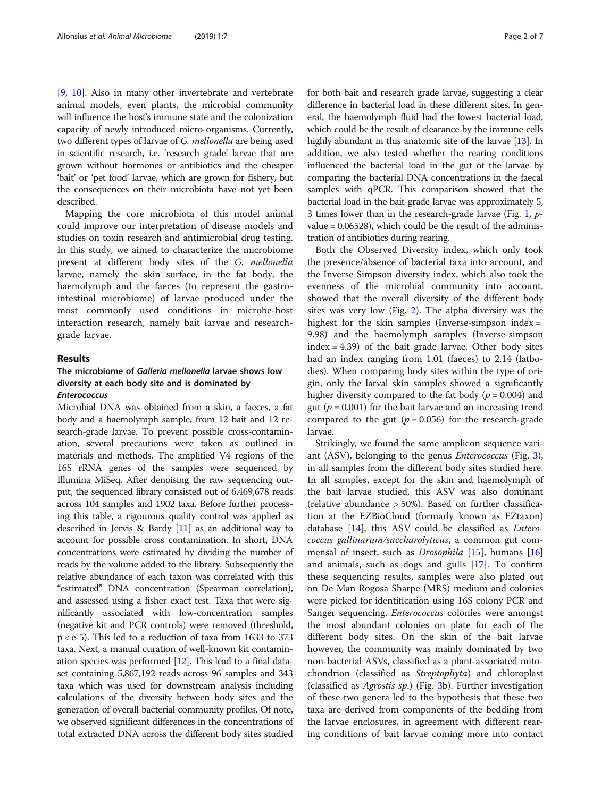[[9,](#page-5-0) [10\]](#page-5-0). Also in many other invertebrate and vertebrate animal models, even plants, the microbial community will influence the host's immune state and the colonization capacity of newly introduced micro-organisms. Currently, two different types of larvae of G. mellonella are being used in scientific research, i.e. 'research grade' larvae that are grown without hormones or antibiotics and the cheaper 'bait' or 'pet food' larvae, which are grown for fishery, but the consequences on their microbiota have not yet been described.

Mapping the core microbiota of this model animal could improve our interpretation of disease models and studies on toxin research and antimicrobial drug testing. In this study, we aimed to characterize the microbiome present at different body sites of the G. mellonella larvae, namely the skin surface, in the fat body, the haemolymph and the faeces (to represent the gastrointestinal microbiome) of larvae produced under the most commonly used conditions in microbe-host interaction research, namely bait larvae and researchgrade larvae.

## Results

## The microbiome of Galleria mellonella larvae shows low diversity at each body site and is dominated by **Enterococcus**

Microbial DNA was obtained from a skin, a faeces, a fat body and a haemolymph sample, from 12 bait and 12 research-grade larvae. To prevent possible cross-contamination, several precautions were taken as outlined in materials and methods. The amplified V4 regions of the 16S rRNA genes of the samples were sequenced by Illumina MiSeq. After denoising the raw sequencing output, the sequenced library consisted out of 6,469,678 reads across 104 samples and 1902 taxa. Before further processing this table, a rigourous quality control was applied as described in Jervis & Bardy [\[11\]](#page-5-0) as an additional way to account for possible cross contamination. In short, DNA concentrations were estimated by dividing the number of reads by the volume added to the library. Subsequently the relative abundance of each taxon was correlated with this "estimated" DNA concentration (Spearman correlation), and assessed using a fisher exact test. Taxa that were significantly associated with low-concentration samples (negative kit and PCR controls) were removed (threshold, p < e-5). This led to a reduction of taxa from 1633 to 373 taxa. Next, a manual curation of well-known kit contamination species was performed [\[12\]](#page-6-0). This lead to a final dataset containing 5,867,192 reads across 96 samples and 343 taxa which was used for downstream analysis including calculations of the diversity between body sites and the generation of overall bacterial community profiles. Of note, we observed significant differences in the concentrations of total extracted DNA across the different body sites studied for both bait and research grade larvae, suggesting a clear difference in bacterial load in these different sites. In general, the haemolymph fluid had the lowest bacterial load, which could be the result of clearance by the immune cells highly abundant in this anatomic site of the larvae [\[13\]](#page-6-0). In addition, we also tested whether the rearing conditions influenced the bacterial load in the gut of the larvae by comparing the bacterial DNA concentrations in the faecal samples with qPCR. This comparison showed that the bacterial load in the bait-grade larvae was approximately 5, 3 times lower than in the research-grade larvae (Fig. [1,](#page-2-0) pvalue = 0.06528), which could be the result of the administration of antibiotics during rearing.

Both the Observed Diversity index, which only took the presence/absence of bacterial taxa into account, and the Inverse Simpson diversity index, which also took the evenness of the microbial community into account, showed that the overall diversity of the different body sites was very low (Fig. [2](#page-3-0)). The alpha diversity was the highest for the skin samples (Inverse-simpson index = 9.98) and the haemolymph samples (Inverse-simpson index  $= 4.39$ ) of the bait grade larvae. Other body sites had an index ranging from 1.01 (faeces) to 2.14 (fatbodies). When comparing body sites within the type of origin, only the larval skin samples showed a significantly higher diversity compared to the fat body ( $p = 0.004$ ) and gut ( $p = 0.001$ ) for the bait larvae and an increasing trend compared to the gut ( $p = 0.056$ ) for the research-grade larvae.

Strikingly, we found the same amplicon sequence variant (ASV), belonging to the genus Enterococcus (Fig. [3](#page-4-0)), in all samples from the different body sites studied here. In all samples, except for the skin and haemolymph of the bait larvae studied, this ASV was also dominant (relative abundance > 50%). Based on further classification at the EZBioCloud (formarly known as EZtaxon) database  $[14]$  $[14]$ , this ASV could be classified as *Entero*coccus gallinarum/saccharolyticus, a common gut commensal of insect, such as *Drosophila* [[15\]](#page-6-0), humans [[16](#page-6-0)] and animals, such as dogs and gulls [[17\]](#page-6-0). To confirm these sequencing results, samples were also plated out on De Man Rogosa Sharpe (MRS) medium and colonies were picked for identification using 16S colony PCR and Sanger sequencing. *Enterococcus* colonies were amongst the most abundant colonies on plate for each of the different body sites. On the skin of the bait larvae however, the community was mainly dominated by two non-bacterial ASVs, classified as a plant-associated mitochondrion (classified as Streptophyta) and chloroplast (classified as Agrostis sp.) (Fig. [3b](#page-4-0)). Further investigation of these two genera led to the hypothesis that these two taxa are derived from components of the bedding from the larvae enclosures, in agreement with different rearing conditions of bait larvae coming more into contact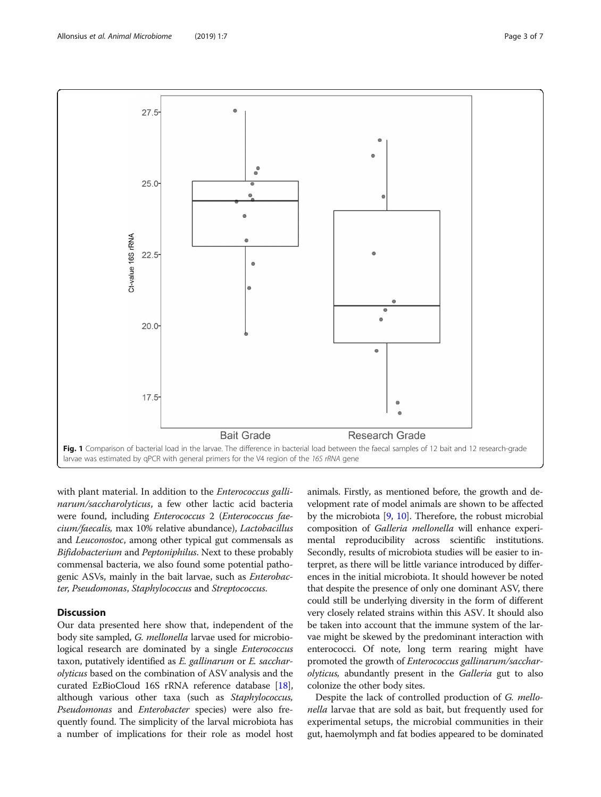<span id="page-2-0"></span>

with plant material. In addition to the *Enterococcus galli*narum/saccharolyticus, a few other lactic acid bacteria were found, including Enterococcus 2 (Enterococcus faecium/faecalis, max 10% relative abundance), Lactobacillus and Leuconostoc, among other typical gut commensals as Bifidobacterium and Peptoniphilus. Next to these probably commensal bacteria, we also found some potential pathogenic ASVs, mainly in the bait larvae, such as Enterobacter, Pseudomonas, Staphylococcus and Streptococcus.

## **Discussion**

Our data presented here show that, independent of the body site sampled, *G. mellonella* larvae used for microbiological research are dominated by a single *Enterococcus* taxon, putatively identified as E. gallinarum or E. saccharolyticus based on the combination of ASV analysis and the curated EzBioCloud 16S rRNA reference database [[18](#page-6-0)], although various other taxa (such as Staphylococcus, Pseudomonas and Enterobacter species) were also frequently found. The simplicity of the larval microbiota has a number of implications for their role as model host animals. Firstly, as mentioned before, the growth and development rate of model animals are shown to be affected by the microbiota [[9,](#page-5-0) [10\]](#page-5-0). Therefore, the robust microbial composition of Galleria mellonella will enhance experimental reproducibility across scientific institutions. Secondly, results of microbiota studies will be easier to interpret, as there will be little variance introduced by differences in the initial microbiota. It should however be noted that despite the presence of only one dominant ASV, there could still be underlying diversity in the form of different very closely related strains within this ASV. It should also be taken into account that the immune system of the larvae might be skewed by the predominant interaction with enterococci. Of note, long term rearing might have promoted the growth of Enterococcus gallinarum/saccharolyticus, abundantly present in the Galleria gut to also colonize the other body sites.

Despite the lack of controlled production of G. mellonella larvae that are sold as bait, but frequently used for experimental setups, the microbial communities in their gut, haemolymph and fat bodies appeared to be dominated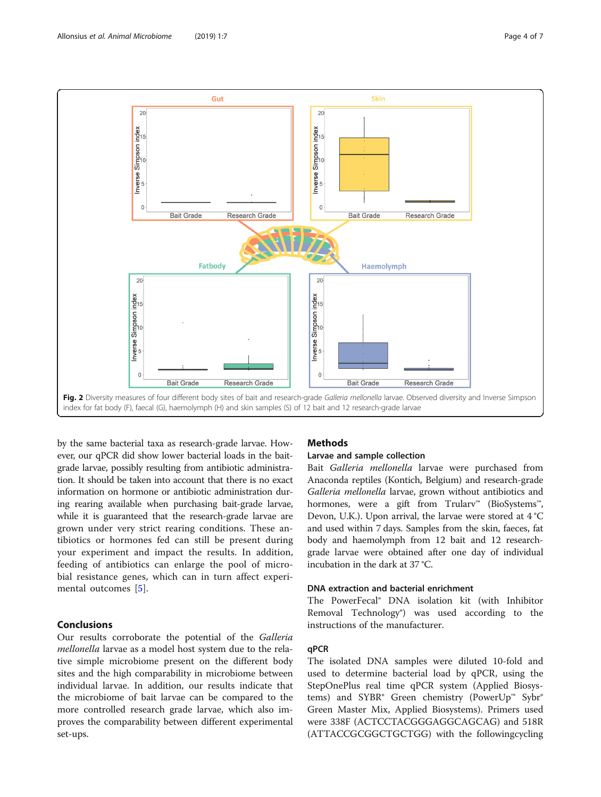<span id="page-3-0"></span>

by the same bacterial taxa as research-grade larvae. However, our qPCR did show lower bacterial loads in the baitgrade larvae, possibly resulting from antibiotic administration. It should be taken into account that there is no exact information on hormone or antibiotic administration during rearing available when purchasing bait-grade larvae, while it is guaranteed that the research-grade larvae are grown under very strict rearing conditions. These antibiotics or hormones fed can still be present during your experiment and impact the results. In addition, feeding of antibiotics can enlarge the pool of microbial resistance genes, which can in turn affect experimental outcomes [[5\]](#page-5-0).

## Conclusions

Our results corroborate the potential of the Galleria mellonella larvae as a model host system due to the relative simple microbiome present on the different body sites and the high comparability in microbiome between individual larvae. In addition, our results indicate that the microbiome of bait larvae can be compared to the more controlled research grade larvae, which also improves the comparability between different experimental set-ups.

## Methods

## Larvae and sample collection

Bait Galleria mellonella larvae were purchased from Anaconda reptiles (Kontich, Belgium) and research-grade Galleria mellonella larvae, grown without antibiotics and hormones, were a gift from Trularv™ (BioSystems™, Devon, U.K.). Upon arrival, the larvae were stored at 4 °C and used within 7 days. Samples from the skin, faeces, fat body and haemolymph from 12 bait and 12 researchgrade larvae were obtained after one day of individual incubation in the dark at 37 °C.

## DNA extraction and bacterial enrichment

The PowerFecal® DNA isolation kit (with Inhibitor Removal Technology®) was used according to the instructions of the manufacturer.

## qPCR

The isolated DNA samples were diluted 10-fold and used to determine bacterial load by qPCR, using the StepOnePlus real time qPCR system (Applied Biosystems) and SYBR<sup>®</sup> Green chemistry (PowerUp™ Sybr® Green Master Mix, Applied Biosystems). Primers used were 338F (ACTCCTACGGGAGGCAGCAG) and 518R (ATTACCGCGGCTGCTGG) with the followingcycling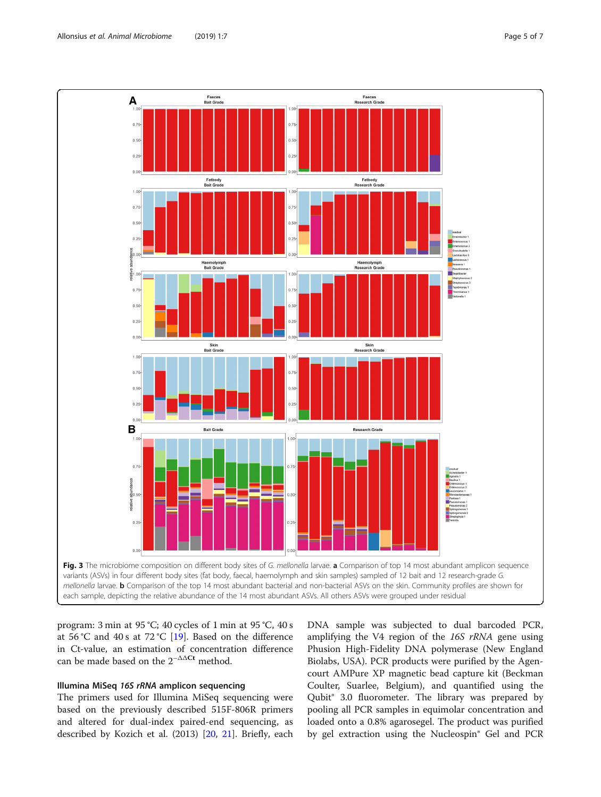<span id="page-4-0"></span>

program: 3 min at 95 °C; 40 cycles of 1 min at 95 °C, 40 s at 56 °C and 40 s at 72 °C [[19\]](#page-6-0). Based on the difference in Ct-value, an estimation of concentration difference can be made based on the  $2^{-\Delta\Delta Ct}$  method.

## Illumina MiSeq 16S rRNA amplicon sequencing

The primers used for Illumina MiSeq sequencing were based on the previously described 515F-806R primers and altered for dual-index paired-end sequencing, as described by Kozich et al. (2013) [[20,](#page-6-0) [21\]](#page-6-0). Briefly, each DNA sample was subjected to dual barcoded PCR, amplifying the V4 region of the 16S rRNA gene using Phusion High-Fidelity DNA polymerase (New England Biolabs, USA). PCR products were purified by the Agencourt AMPure XP magnetic bead capture kit (Beckman Coulter, Suarlee, Belgium), and quantified using the Qubit® 3.0 fluorometer. The library was prepared by pooling all PCR samples in equimolar concentration and loaded onto a 0.8% agarosegel. The product was purified by gel extraction using the Nucleospin® Gel and PCR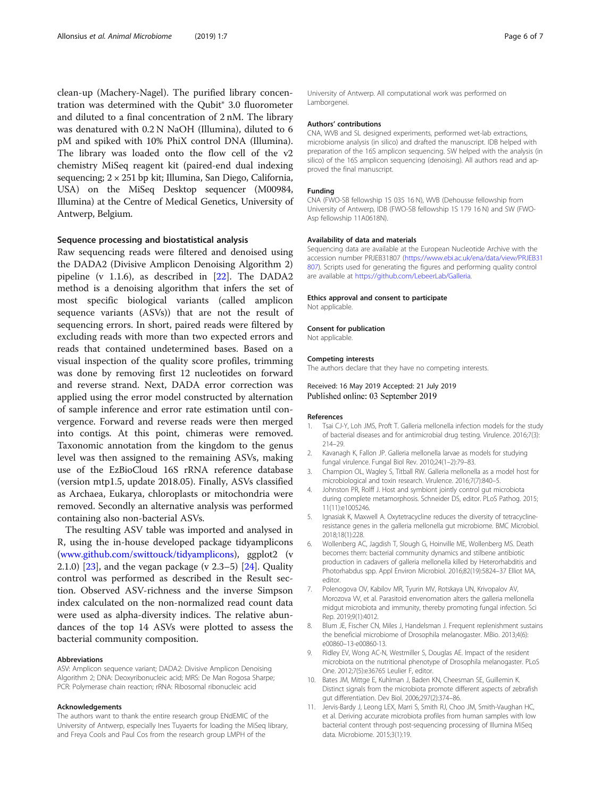<span id="page-5-0"></span>clean-up (Machery-Nagel). The purified library concentration was determined with the Qubit® 3.0 fluorometer and diluted to a final concentration of 2 nM. The library was denatured with 0.2 N NaOH (Illumina), diluted to 6 pM and spiked with 10% PhiX control DNA (Illumina). The library was loaded onto the flow cell of the v2 chemistry MiSeq reagent kit (paired-end dual indexing sequencing; 2 × 251 bp kit; Illumina, San Diego, California, USA) on the MiSeq Desktop sequencer (M00984, Illumina) at the Centre of Medical Genetics, University of Antwerp, Belgium.

#### Sequence processing and biostatistical analysis

Raw sequencing reads were filtered and denoised using the DADA2 (Divisive Amplicon Denoising Algorithm 2) pipeline (v 1.1.6), as described in [[22](#page-6-0)]. The DADA2 method is a denoising algorithm that infers the set of most specific biological variants (called amplicon sequence variants (ASVs)) that are not the result of sequencing errors. In short, paired reads were filtered by excluding reads with more than two expected errors and reads that contained undetermined bases. Based on a visual inspection of the quality score profiles, trimming was done by removing first 12 nucleotides on forward and reverse strand. Next, DADA error correction was applied using the error model constructed by alternation of sample inference and error rate estimation until convergence. Forward and reverse reads were then merged into contigs. At this point, chimeras were removed. Taxonomic annotation from the kingdom to the genus level was then assigned to the remaining ASVs, making use of the EzBioCloud 16S rRNA reference database (version mtp1.5, update 2018.05). Finally, ASVs classified as Archaea, Eukarya, chloroplasts or mitochondria were removed. Secondly an alternative analysis was performed containing also non-bacterial ASVs.

The resulting ASV table was imported and analysed in R, using the in-house developed package tidyamplicons ([www.github.com/swittouck/tidyamplicons\)](http://www.github.com/swittouck/tidyamplicons), ggplot2 (v 2.1.0)  $[23]$ , and the vegan package (v 2.3–5)  $[24]$  $[24]$ . Quality control was performed as described in the Result section. Observed ASV-richness and the inverse Simpson index calculated on the non-normalized read count data were used as alpha-diversity indices. The relative abundances of the top 14 ASVs were plotted to assess the bacterial community composition.

#### Abbreviations

ASV: Amplicon sequence variant; DADA2: Divisive Amplicon Denoising Algorithm 2; DNA: Deoxyribonucleic acid; MRS: De Man Rogosa Sharpe; PCR: Polymerase chain reaction; rRNA: Ribosomal ribonucleic acid

#### Acknowledgements

The authors want to thank the entire research group ENdEMIC of the University of Antwerp, especially Ines Tuyaerts for loading the MiSeq library, and Freya Cools and Paul Cos from the research group LMPH of the

University of Antwerp. All computational work was performed on Lamborgenei.

#### Authors' contributions

CNA, WVB and SL designed experiments, performed wet-lab extractions, microbiome analysis (in silico) and drafted the manuscript. IDB helped with preparation of the 16S amplicon sequencing. SW helped with the analysis (in silico) of the 16S amplicon sequencing (denoising). All authors read and approved the final manuscript.

#### Funding

CNA (FWO-SB fellowship 1S 035 16 N), WVB (Dehousse fellowship from University of Antwerp, IDB (FWO-SB fellowship 1S 179 16 N) and SW (FWO-Asp fellowship 11A0618N).

### Availability of data and materials

Sequencing data are available at the European Nucleotide Archive with the accession number PRJEB31807 [\(https://www.ebi.ac.uk/ena/data/view/PRJEB31](https://www.ebi.ac.uk/ena/data/view/PRJEB31807) [807](https://www.ebi.ac.uk/ena/data/view/PRJEB31807)). Scripts used for generating the figures and performing quality control are available at <https://github.com/LebeerLab/Galleria>.

#### Ethics approval and consent to participate

Not applicable.

#### Consent for publication

Not applicable.

#### Competing interests

The authors declare that they have no competing interests.

#### Received: 16 May 2019 Accepted: 21 July 2019 Published online: 03 September 2019

#### References

- 1. Tsai CJ-Y, Loh JMS, Proft T. Galleria mellonella infection models for the study of bacterial diseases and for antimicrobial drug testing. Virulence. 2016;7(3): 214–29.
- 2. Kavanagh K, Fallon JP. Galleria mellonella larvae as models for studying fungal virulence. Fungal Biol Rev. 2010;24(1–2):79–83.
- 3. Champion OL, Wagley S, Titball RW. Galleria mellonella as a model host for microbiological and toxin research. Virulence. 2016;7(7):840–5.
- 4. Johnston PR, Rolff J. Host and symbiont jointly control gut microbiota during complete metamorphosis. Schneider DS, editor. PLoS Pathog. 2015; 11(11):e1005246.
- 5. Ignasiak K, Maxwell A. Oxytetracycline reduces the diversity of tetracyclineresistance genes in the galleria mellonella gut microbiome. BMC Microbiol. 2018;18(1):228.
- 6. Wollenberg AC, Jagdish T, Slough G, Hoinville ME, Wollenberg MS. Death becomes them: bacterial community dynamics and stilbene antibiotic production in cadavers of galleria mellonella killed by Heterorhabditis and Photorhabdus spp. Appl Environ Microbiol. 2016;82(19):5824–37 Elliot MA, editor.
- 7. Polenogova OV, Kabilov MR, Tyurin MV, Rotskaya UN, Krivopalov AV, Morozova VV, et al. Parasitoid envenomation alters the galleria mellonella midgut microbiota and immunity, thereby promoting fungal infection. Sci Rep. 2019;9(1):4012.
- 8. Blum JE, Fischer CN, Miles J, Handelsman J. Frequent replenishment sustains the beneficial microbiome of Drosophila melanogaster. MBio. 2013;4(6): e00860–13-e00860-13.
- Ridley EV, Wong AC-N, Westmiller S, Douglas AE. Impact of the resident microbiota on the nutritional phenotype of Drosophila melanogaster. PLoS One. 2012;7(5):e36765 Leulier F, editor.
- 10. Bates JM, Mittge E, Kuhlman J, Baden KN, Cheesman SE, Guillemin K. Distinct signals from the microbiota promote different aspects of zebrafish gut differentiation. Dev Biol. 2006;297(2):374–86.
- 11. Jervis-Bardy J, Leong LEX, Marri S, Smith RJ, Choo JM, Smith-Vaughan HC, et al. Deriving accurate microbiota profiles from human samples with low bacterial content through post-sequencing processing of Illumina MiSeq data. Microbiome. 2015;3(1):19.